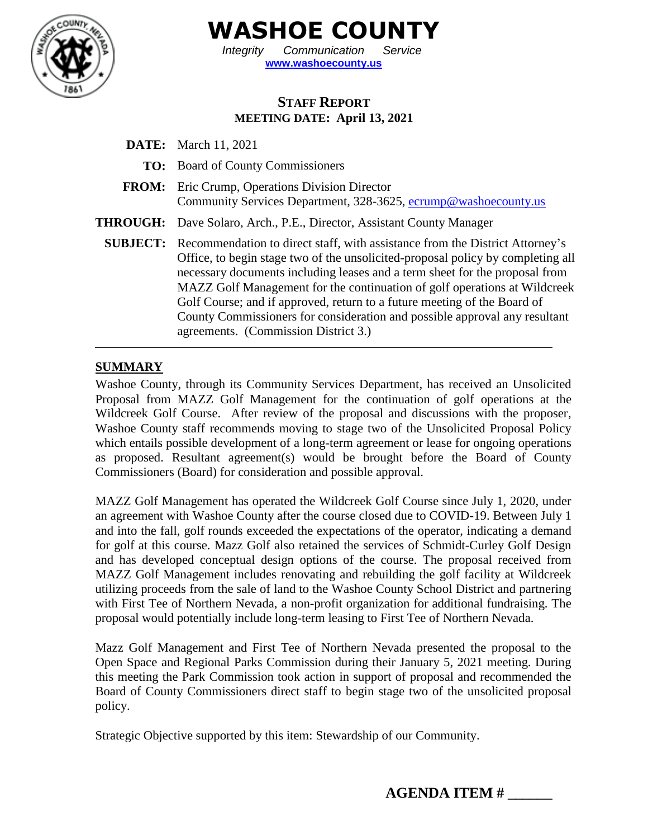

**WASHOE COUNTY**

*Integrity Communication Service* **[www.washoecounty.us](http://www.washoecounty.us/)**

## **STAFF REPORT MEETING DATE: April 13, 2021**

**DATE:** March 11, 2021 **TO:** Board of County Commissioners **FROM:** Eric Crump, Operations Division Director Community Services Department, 328-3625, [ecrump@washoecounty.us](mailto:ecrump@washoecounty.us) **THROUGH:** Dave Solaro, Arch., P.E., Director, Assistant County Manager **SUBJECT:** Recommendation to direct staff, with assistance from the District Attorney's Office, to begin stage two of the unsolicited-proposal policy by completing all necessary documents including leases and a term sheet for the proposal from MAZZ Golf Management for the continuation of golf operations at Wildcreek Golf Course; and if approved, return to a future meeting of the Board of County Commissioners for consideration and possible approval any resultant agreements. (Commission District 3.)

# **SUMMARY**

Washoe County, through its Community Services Department, has received an Unsolicited Proposal from MAZZ Golf Management for the continuation of golf operations at the Wildcreek Golf Course. After review of the proposal and discussions with the proposer, Washoe County staff recommends moving to stage two of the Unsolicited Proposal Policy which entails possible development of a long-term agreement or lease for ongoing operations as proposed. Resultant agreement(s) would be brought before the Board of County Commissioners (Board) for consideration and possible approval.

MAZZ Golf Management has operated the Wildcreek Golf Course since July 1, 2020, under an agreement with Washoe County after the course closed due to COVID-19. Between July 1 and into the fall, golf rounds exceeded the expectations of the operator, indicating a demand for golf at this course. Mazz Golf also retained the services of Schmidt-Curley Golf Design and has developed conceptual design options of the course. The proposal received from MAZZ Golf Management includes renovating and rebuilding the golf facility at Wildcreek utilizing proceeds from the sale of land to the Washoe County School District and partnering with First Tee of Northern Nevada, a non-profit organization for additional fundraising. The proposal would potentially include long-term leasing to First Tee of Northern Nevada.

Mazz Golf Management and First Tee of Northern Nevada presented the proposal to the Open Space and Regional Parks Commission during their January 5, 2021 meeting. During this meeting the Park Commission took action in support of proposal and recommended the Board of County Commissioners direct staff to begin stage two of the unsolicited proposal policy.

Strategic Objective supported by this item: Stewardship of our Community.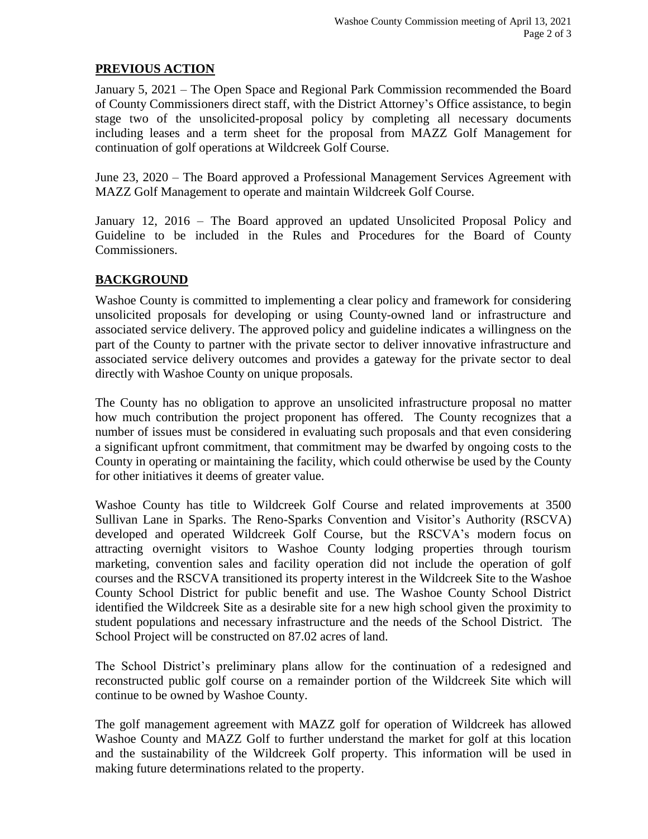### **PREVIOUS ACTION**

January 5, 2021 – The Open Space and Regional Park Commission recommended the Board of County Commissioners direct staff, with the District Attorney's Office assistance, to begin stage two of the unsolicited-proposal policy by completing all necessary documents including leases and a term sheet for the proposal from MAZZ Golf Management for continuation of golf operations at Wildcreek Golf Course.

June 23, 2020 – The Board approved a Professional Management Services Agreement with MAZZ Golf Management to operate and maintain Wildcreek Golf Course.

January 12, 2016 – The Board approved an updated Unsolicited Proposal Policy and Guideline to be included in the Rules and Procedures for the Board of County Commissioners.

## **BACKGROUND**

Washoe County is committed to implementing a clear policy and framework for considering unsolicited proposals for developing or using County-owned land or infrastructure and associated service delivery. The approved policy and guideline indicates a willingness on the part of the County to partner with the private sector to deliver innovative infrastructure and associated service delivery outcomes and provides a gateway for the private sector to deal directly with Washoe County on unique proposals.

The County has no obligation to approve an unsolicited infrastructure proposal no matter how much contribution the project proponent has offered. The County recognizes that a number of issues must be considered in evaluating such proposals and that even considering a significant upfront commitment, that commitment may be dwarfed by ongoing costs to the County in operating or maintaining the facility, which could otherwise be used by the County for other initiatives it deems of greater value.

Washoe County has title to Wildcreek Golf Course and related improvements at 3500 Sullivan Lane in Sparks. The Reno-Sparks Convention and Visitor's Authority (RSCVA) developed and operated Wildcreek Golf Course, but the RSCVA's modern focus on attracting overnight visitors to Washoe County lodging properties through tourism marketing, convention sales and facility operation did not include the operation of golf courses and the RSCVA transitioned its property interest in the Wildcreek Site to the Washoe County School District for public benefit and use. The Washoe County School District identified the Wildcreek Site as a desirable site for a new high school given the proximity to student populations and necessary infrastructure and the needs of the School District. The School Project will be constructed on 87.02 acres of land.

The School District's preliminary plans allow for the continuation of a redesigned and reconstructed public golf course on a remainder portion of the Wildcreek Site which will continue to be owned by Washoe County.

The golf management agreement with MAZZ golf for operation of Wildcreek has allowed Washoe County and MAZZ Golf to further understand the market for golf at this location and the sustainability of the Wildcreek Golf property. This information will be used in making future determinations related to the property.